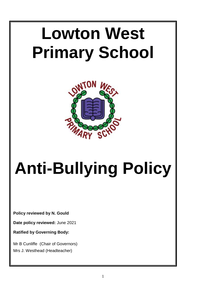# **Lowton West Primary School**



# **Anti-Bullying Policy**

**Policy reviewed by N. Gould**

**Date policy reviewed:** June 2021

**Ratified by Governing Body:**

Mr B Cunliffe (Chair of Governors) Mrs J. Westhead (Headteacher)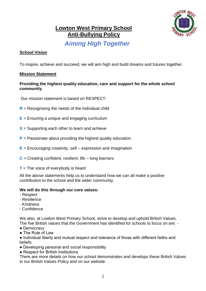

# **Lowton West Primary School Anti-Bullying Policy**

# *Aiming High Together*

# **School Vision**

To inspire, achieve and succeed, we will aim high and build dreams and futures together.

# **Mission Statement**

# **Providing the highest quality education, care and support for the whole school community**.

Our mission statement is based on RESPECT:

- **R** = Recognising the needs of the individual child
- **E** = Ensuring a unique and engaging curriculum
- **S** = Supporting each other to learn and achieve
- **P** = Passionate about providing the highest quality education
- **E** = Encouraging creativity, self expression and imagination
- **C** = Creating confident, resilient, life long learners
- **T** = The voice of everybody is heard

All the above statements help us to understand how we can all make a positive contribution to the school and the wider community.

# **We will do this through our core values:**

- Respect
- Resilience
- Kindness
- Confidence

We also, at Lowton West Primary School, strive to develop and uphold British Values. The five British values that the Government has identified for schools to focus on are: -

- Democracy
- The Rule of Law
- Individual liberty and mutual respect and tolerance of those with different faiths and beliefs
- Developing personal and social responsibility
- Respect for British Institutions

There are more details on how our school demonstrates and develops these British Values in our British Values Policy and on our website.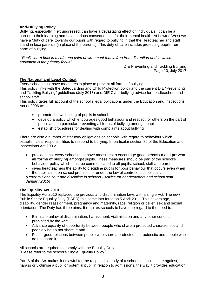## **Anti-Bullying Policy**

Bullying, especially if left undressed, can have a devastating effect on individuals. It can be a barrier to their learning and have serious consequences for their mental health. At Lowton West we have a 'duty of care' towards our pupils with regard to bullying in that the Headteacher and staff stand in loco parentis (in place of the parents). This duty of care includes protecting pupils from harm of bullying.

*"Pupils learn best in a safe and calm environment that is free from disruption and in which education is the primary focus"*

DfE Preventing and Tackling Bullying Page 10, July 2017

## **The National and Legal Context**

Every school must have measures in place to prevent all forms of bullying.

This policy links with the Safeguarding and Child Protection policy and the current DfE "Preventing and Tackling Bullying" guidelines (July 2017) and DfE Cyberbullying advice for headteachers and school staff.

This policy takes full account of the school's legal obligations under the Education and Inspections Act of 2006 to:

- promote the well-being of pupils in school
- develop a policy which encourages good behaviour and respect for others on the part of pupils and, in particular preventing all forms of bullying amongst pupils
- establish procedures for dealing with complaints about bullying

There are also a number of statutory obligations on schools with regard to behaviour which establish clear responsibilities to respond to bullying. In particular section 89 of the Education and Inspections Act 2006:

 provides that every school must have measures to encourage good behaviour and **prevent all forms of bullying** amongst pupils. These measures should be part of the school's behaviour policy which must be communicated to all pupils, school, staff and parents:

 gives headteachers the ability to discipline pupils for poor behaviour that occurs even when the pupil is not on school premises or under the lawful control of school staff. *(Refer to Behaviour and discipline in schools - Advice for headteachers and school staff January 2016)*

## **The Equality Act 2010**

The Equality Act 2010 replaced the previous anti-discrimination laws with a single Act. The new Public Sector Equality Duty (PSED) this came into force on 5 April 2011. This covers age, disability, gender reassignment, pregnancy and maternity, race, religion or belief, sex and sexual orientation. The Duty has three aims. It requires schools to have due regard to the need to:

- Eliminate unlawful discrimination, harassment, victimisation and any other conduct prohibited by the Act:
- Advance equality of opportunity between people who share a protected characteristic and people who do not share it: and
- Foster good relations between people who share a protected characteristic and people who do not share it.

All schools are required to comply with the Equality Duty. (Please refer to the school's Single Equality Policy.)

Part 6 of the Act makes it unlawful for the responsible body of a school to discriminate against, harass or victimise a pupil or potential pupil in relation to admissions, the way it provides education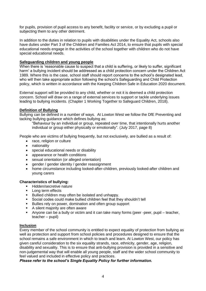for pupils, provision of pupil access to any benefit, facility or service, or by excluding a pupil or subjecting them to any other detriment.

In addition to the duties in relation to pupils with disabilities under the Equality Act, schools also have duties under Part 3 of the Children and Families Act 2014, to ensure that pupils with special educational needs engage in the activities of the school together with children who do not have special educational needs.

#### **Safeguarding children and young people**

When there is 'reasonable cause to suspect that a child is suffering, or likely to suffer, significant harm' a bullying incident should be addressed as a child protection concern under the Children Act 1989. Where this is the case, school staff should report concerns to the school's designated lead, who will then take appropriate action following the school's Safeguarding and Child Protection policy, which is written in accordance with the Keeping Children Safe in Education 2020 document.

External support will be provided to any child, whether or not it is deemed a child protection concern. School will draw on a range of external services to support or tackle underlying issues leading to bullying incidents. (Chapter 1 Working Together to Safeguard Children, 2018).

#### **Definition of Bullying**

Bullying can be defined in a number of ways. At Lowton West we follow the DfE Preventing and tacking bullying guidance which defines bullying as:

"Behaviour by an individual or group, repeated over time, that intentionally hurts another individual or group either physically or emotionally". (July 2017, page 8)

People who are victims of bullying frequently, but not exclusively, are bullied as a result of:

- race, religion or culture
- nationality
- special educational needs or disability
- appearance or health conditions
- sexual orientation (or alleged orientation)
- gender / gender identity / gender reassignment
- home circumstance including looked-after-children, previously looked-after children and young carers

#### **Characteristics of bullying:**

- Hidden/secretive nature
- **Long term effects**
- Bullied children may often be isolated and unhappy.
- Social codes could make bullied children feel that they shouldn't tell
- Bullies rely on power, domination and often group support<br>  $\Delta$  silent maiority are often aware
- A silent majority are often aware
- Anyone can be a bully or victim and it can take many forms (peer -peer, pupil teacher, teacher – pupil)

#### **Inclusion**

Every member of the school community is entitled to expect equality of protection from bullying as well as protection and support from school policies and procedures designed to ensure that the school remains a safe environment in which to teach and learn. At Lowton West, our policy has given careful consideration to the six equality strands, race, ethnicity, gender, age, religion, disability and sexuality. This is to ensure that anti-bullying provision is provided in a sensitive and non-judgemental way that will enable all young people, staff and the wider school community to feel valued and included in effective policy and practices.

#### *Please refer to the school's Single Equality Policy for further information.*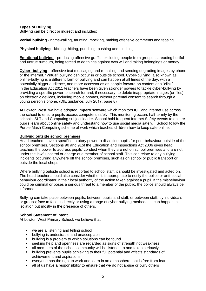#### **Types of Bullying**

Bullying can be direct or indirect and includes:

**Verbal bullying** - name-calling, taunting, mocking, making offensive comments and teasing

**Physical bullying** - kicking, hitting, punching, pushing and pinching,

**Emotional bullying** - producing offensive graffiti, excluding people from groups, spreading hurtful and untrue rumours, being forced to do things against own will and taking belongings or money

**Cyber- bullying** - offensive text messaging and e-mailing and sending degrading images by phone or the internet. "Virtual" bullying can occur in or outside school. Cyber-bullying, also known as online-bullying is a different form of bullying and can happen at all times of the day, with a potentially bigger audience, and more accessories as people forward on content at a "click". In the Education Act 2011 teachers have been given stronger powers to tackle cyber-bullying by providing a specific power to search for and, if necessary, to delete inappropriate images (or files) on electronic devices, including mobile phones, without parental consent to search through a young person's phone. (DfE guidance, July 2017, page 8)

At Lowton West, we have adopted **Impero** software which monitors ICT and internet use across the school to ensure pupils access computers safely. This monitoring occurs half-termly by the schools' SLT and Computing subject leader. School hold frequent Internet Safety events to ensure pupils learn about online safety and understand how to use social media safely. School follow the Purple Mash Computing scheme of work which teaches children how to keep safe online.

#### **Bullying outside school premises**

Head teachers have a specific statutory power to discipline pupils for poor behaviour outside of the school premises. Sections 90 and 91of the Education and Inspections Act 2006 gives head teachers the power to address pupils' conduct when they are not on school premises and are not under the lawful control or charge of a member of school staff. This can relate to any bullying incidents occurring anywhere off the school premises, such as on school or public transport or outside the local shops.

Where bullying outside school is reported to school staff, it should be investigated and acted on. The head teacher should also consider whether it is appropriate to notify the police or anti-social behaviour coordinator in their local authority of the action taken against a pupil. If the misbehaviour could be criminal or poses a serious threat to a member of the public, the police should always be informed.

Bullying can take place between pupils, between pupils and staff; or between staff; by individuals or groups; face to face, indirectly or using a range of cyber bullying methods. It can happen in isolation but mostly in the presence of others.

#### **School Statement of Intent**

At Lowton West Primary School, we believe that:

- we are a listening and telling school
- **•** bullying is undesirable and unacceptable
- **•** bullying is a problem to which solutions can be found
- seeking help and openness are regarded as signs of strength not weakness
- all members of the school community will be listened to and taken seriously
- bullying prevents pupils achieving to their full potential and affects standards of achievement and aspirations
- everyone has the right to work and learn in an atmosphere that is free from fear
- all of us have a responsibility to ensure that we do not abuse or bully others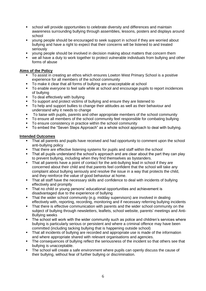- school will provide opportunities to celebrate diversity and differences and maintain awareness surrounding bullying through assemblies, lessons, posters and displays around school
- young people should be encouraged to seek support in school if they are worried about bullying and have a right to expect that their concerns will be listened to and treated seriously
- young people should be involved in decision making about matters that concern them
- we all have a duty to work together to protect vulnerable individuals from bullying and other forms of abuse

#### **Aims of the Policy**

- To assist in creating an ethos which ensures Lowton West Primary School is a positive experience for all members of the school community
- To make it clear that all forms of bullying are unacceptable at school
- To enable everyone to feel safe while at school and encourage pupils to report incidences of bullying
- To deal effectively with bullying
- To support and protect victims of bullying and ensure they are listened to
- To help and support bullies to change their attitudes as well as their behaviour and understand why it needs to change
- To liaise with pupils, parents and other appropriate members of the school community
- To ensure all members of the school community feel responsible for combating bullying
- To ensure consistency in practice within the school community
- To embed the "Seven Steps Approach" as a whole school approach to deal with bullying.

#### **Intended Outcomes**

- That all parents and pupils have received and had opportunity to comment upon the school anti-bullying policy
- That there are effective listening systems for pupils and staff within the school
- That all pupils understand the school's approach and are clear about the part they can play to prevent bullying, including when they find themselves as bystanders.
- That all parents have a point of contact for the anti-bullying lead in school if they are concerned about their child and that parents feel confident that the school will take any complaint about bullying seriously and resolve the issue in a way that protects the child, and they reinforce the value of good behaviour at home.
- That all staff have the necessary skills and confidence to deal with incidents of bullying effectively and promptly
- That no child or young persons' educational opportunities and achievement is disadvantaged due to the experience of bullying
- That the wider school community (e.g. midday supervisors) are involved in dealing effectively with, reporting, recording, monitoring and if necessary referring bullying incidents
- That there is effective communication with parents and the wider school community on the subject of bullying through newsletters, leaflets, school website, parents' meetings and Anti-Bullying weeks
- **The school will work with the wider community such as police and children's services where** bullying is particularly serious or persistent and where a criminal offence may have been committed (including tacking bullying that is happening outside school)
- That all incidents of bullying are recorded and appropriate use is made of the information and where appropriate shared with relevant organisations and agencies.
- The consequences of bullying reflect the seriousness of the incident so that others see that bullying is unacceptable.
- The school will create a safe environment where pupils can openly discuss the cause of their bullying, without fear of further bullying or discrimination.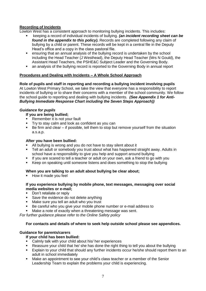## **Recording of Incidents**

Lowton West has a consistent approach to monitoring bullying incidents. This includes:

- keeping a record of individual incidents of bullying. *(an incident recording sheet can be found in the appendix to this policy).* Records are completed following any claim of bullying by a child or parent. These records will be kept in a central file in the Deputy Head's office and a copy in the class pastoral file.
- ensuring that an annual analysis of the bullying record is undertaken by the school including the Head Teacher (J Westhead), the Deputy Head Teacher (Mrs N Gould), the Assistant Head Teachers, the PSHE&C Subject Leader and the Governing Body.
- an analysis of the bullying record is reported to the Governing Body in annual report

# **Procedures and Dealing with Incidents – A Whole School Approach**

**Role of pupils and staff in reporting and recording a bullying incident involving pupils** At Lowton West Primary School, we take the view that everyone has a responsibility to report incidents of bullying or to share their concerns with a member of the school community. We follow the school guide to reporting and dealing with bullying incidents. *(See Appendix 1 for Anti-Bullying Immediate Response Chart including the Seven Steps Approach))*

# *Guidance for pupils*

- **If you are being bullied;**
- Remember it is not your fault
- Try to stay calm and look as confident as you can
- $\blacksquare$  Be firm and clear if possible, tell them to stop but remove yourself from the situation a.s.a.p.

#### **After you have been bullied:**

- All bullying is wrong and you do not have to stay silent about it
- Tell an adult or somebody you trust about what has happened straight away. Adults in school have a responsibility to give you help and support around bullying
- If you are scared to tell a teacher or adult on your own, ask a friend to go with you
- Keep on speaking until someone listens and does something to stop the bullying

## **When you are talking to an adult about bullying be clear about;**

How it made you feel

#### **If you experience bullying by mobile phone, text messages, messaging over social media websites or e-mail;**

- Don't retaliate or reply
- Save the evidence do not delete anything
- **Make sure you tell an adult who you trust**
- Be careful who you give your mobile phone number or e-mail address to
- Make a note of exactly when a threatening message was sent.

*For further guidance please refer to the Online Safety policy*

#### **For contacts and details of where to seek help outside school please see appendices.**

#### **Guidance for parents/carers**

#### **If your child has been bullied:**

- Calmly talk with your child about his/ her experiences
- Reassure your child that he/ she has done the right thing to tell you about the bullying
- Explain to your child that should any further incidents occur he/she should report them to an adult in school immediately
- Make an appointment to see your child's class teacher or a member of the Senior Leadership Team to explain the problems your child is experiencing.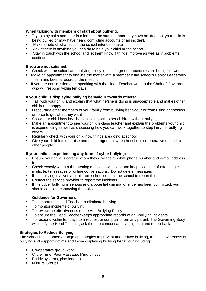#### **When talking with members of staff about bullying:**

- Try to stay calm and bear in mind that the staff member may have no idea that your child is being bullied or may have heard conflicting accounts of an incident.
- Make a note of what action the school intends to take
- Ask if there is anything you can do to help your child or the school
- Stay in touch with the school and let them know if things improve as well as if problems continue

#### **If you are not satisfied:**

- Check with the school anti-bullying policy to see if agreed procedures are being followed
- Make an appointment to discuss the matter with a member if the school's Senior Leadership Team and keep a record of the meeting
- If you are not satisfied after speaking with the Head Teacher write to the Chair of Governors who will respond within ten days.

#### **If your child is displaying bullying behaviour towards others:**

- Talk with your child and explain that what he/she is doing is unacceptable and makes other children unhappy
- Discourage other members of your family from bullying behaviour or from using aggression or force to get what they want
- Show your child how he/ she can join in with other children without bullying.
- Make an appointment to see your child's class teacher and explain the problems your child is experiencing as well as discussing how you can work together to stop him/ her bullying others
- Regularly check with your child how things are going at school
- Give your child lots of praise and encouragement when he/ she is co-operative or kind to other people

#### **If your child is experiencing any form of cyber bullying:**

- Ensure your child is careful whom they give their mobile phone number and e-mail address to
- Check exactly when a threatening message was sent and keep evidence of offending emails, text messages or online conversations. Do not delete messages
- If the bullying involves a pupil from school contact the school to report this.
- Contact the service provider to report the incidents
- If the cyber bullying is serious and a potential criminal offence has been committed, you should consider contacting the police

#### **Guidance for Governors**

- To support the Head Teacher to eliminate bullying
- To monitor incidents of bullying
- To review the effectiveness of the Anti-Bullying Policy
- To ensure the Head Teacher keeps appropriate records of anti-bullying incidents
- To respond within ten days to a request or complaint from any parent. The Governing Body will notify the Head Teacher, ask them to conduct an investigation and report back.

#### **Strategies to Reduce Bullying**

The school has adopted a range of strategies to prevent and reduce bullying, to raise awareness of bullying and support victims and those displaying bullying behaviour including:

- Co-operative group work
- **EXECTE Time, Peer Massage, Mindfulness**
- **Buddy systems, play-leaders**
- **-** Nurture Groups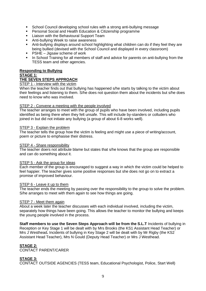- School Council developing school rules with a strong anti-bullying message
- **Personal Social and Health Education & Citizenship programme**
- **EXEC** Liaison with the Behavioural Support Team
- **Anti-bullying Week to raise awareness**
- Anti-bullying displays around school highlighting what children can do if they feel they are being bullied (devised with the School Council and displayed in every classroom)
- $\blacksquare$  PSHE Jigsaw scheme of work
- In School Training for all members of staff and advice for parents on anti-bullying from the TESS team and other agencies.

#### **Responding to Bullying**

#### **STAGE 1:**

#### **THE SEVEN STEPS APPROACH**

#### STEP 1 - Interview with the victim

When the teacher finds out that bullying has happened s/he starts by talking to the victim about their feelings and listening to them. S/he does not question them about the incidents but s/he does need to know who was involved.

#### STEP 2 - Convene a meeting with the people involved

The teacher arranges to meet with the group of pupils who have been involved, including pupils identified as being there when they felt unsafe. This will include by-standers or colluders who joined in but did not initiate any bullying (a group of about 6-8 works well).

#### STEP 3 - Explain the problem

The teacher tells the group how the victim is feeling and might use a piece of writing/account, poem or picture to emphasise their distress.

#### STEP 4 - Share responsibility

The teacher doers not attribute blame but states that s/he knows that the group are responsible and can do something about it.

#### STEP 5 - Ask the group for ideas

Each member of the group is encouraged to suggest a way in which the victim could be helped to feel happier. The teacher gives some positive responses but she does not go on to extract a promise of improved behaviour.

# STEP 6 - Leave it up to them

The teacher ends the meeting by passing over the responsibility to the group to solve the problem. S/he arranges to meet with them again to see how things are going.

#### STEP 7 - Meet them again

About a week later the teacher discusses with each individual involved, including the victim, separately how things have been going. This allows the teacher to monitor the bullying and keeps the young people involved in the process.

**Staff members to use the Seven Steps Approach will be from the S.L.T** Incidents of bullying in Reception or Key Stage 1 will be dealt with by Mrs Brooks (the KS1 Assistant Head Teacher) or Mrs J Westhead**.** Incidents of bullying in Key Stage 2 will be dealt with by Mr Rigby (the KS2 Assistant Head Teacher), Mrs N Gould (Deputy Head Teacher) or Mrs J Westhead.

#### **STAGE 2:**

CONTACT PARENT/CARER

#### **STAGE 3:**

CONTACT OUTSIDE AGENCIES (TESS team, Educational Psychologist, Police, Start Well)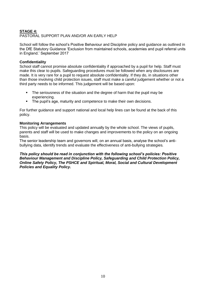# **STAGE 4:**

#### PASTORAL SUPPORT PLAN AND/OR AN EARLY HELP

School will follow the school's Positive Behaviour and Discipline policy and guidance as outlined in the DfE Statutory Guidance 'Exclusion from maintained schools, academies and pupil referral units in England.' September 2017

#### **Confidentiality**

School staff cannot promise absolute confidentiality if approached by a pupil for help. Staff must make this clear to pupils. Safeguarding procedures must be followed when any disclosures are made. It is very rare for a pupil to request absolute confidentiality. If they do, in situations other than those involving child protection issues, staff must make a careful judgement whether or not a third party needs to be informed. This judgement will be based upon:

- The seriousness of the situation and the degree of harm that the pupil may be experiencing.
- The pupil's age, maturity and competence to make their own decisions.

For further guidance and support national and local help lines can be found at the back of this policy.

#### **Monitoring Arrangements**

This policy will be evaluated and updated annually by the whole school. The views of pupils, parents and staff will be used to make changes and improvements to the policy on an ongoing basis.

The senior leadership team and governors will, on an annual basis, analyse the school's antibullying data, identify trends and evaluate the effectiveness of anti-bullying strategies*.* 

*This policy should be read in conjunction with the following school's policies: Positive Behaviour Management and Discipline Policy, Safeguarding and Child Protection Policy, Online Safety Policy, The PSHCE and Spiritual, Moral, Social and Cultural Development Policies and Equality Policy.*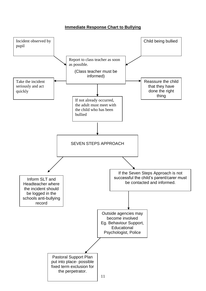**Immediate Response Chart to Bullying**

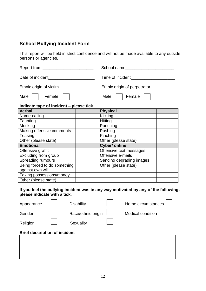# **School Bullying Incident Form**

This report will be held in strict confidence and will not be made available to any outside persons or agencies.

| Report from<br><u> 1980 - Jan Samuel Barbara, martin a</u> | School name                  |  |  |
|------------------------------------------------------------|------------------------------|--|--|
| Date of incident                                           | Time of incident             |  |  |
| Ethnic origin of victim                                    | Ethnic origin of perpetrator |  |  |
| Male<br>Female                                             | Male<br>Female               |  |  |

# **Indicate type of incident – please tick**

| <b>Verbal</b>                | <b>Physical</b>          |  |
|------------------------------|--------------------------|--|
| Name-calling                 | Kicking                  |  |
| Taunting                     | Hitting                  |  |
| Mocking                      | Punching                 |  |
| Making offensive comments    | Pushing                  |  |
| Teasing                      | Pinching                 |  |
| Other (please state)         | Other (please state)     |  |
| <b>Emotional</b>             | <b>Cyber/ online</b>     |  |
| Offensive graffiti           | Offensive text messages  |  |
| Excluding from group         | Offensive e-mails        |  |
| <b>Spreading rumours</b>     | Sending degrading images |  |
| Being forced to do something | Other (please state)     |  |
| against own will             |                          |  |
| Taking possessions/money     |                          |  |
| Other (please state)         |                          |  |

## **If you feel the bullying incident was in any way motivated by any of the following, please indicate with a tick.**

| Appearance                           |  | <b>Disability</b>  |  | Home circumstances       |  |  |  |  |
|--------------------------------------|--|--------------------|--|--------------------------|--|--|--|--|
| Gender                               |  | Race/ethnic origin |  | <b>Medical condition</b> |  |  |  |  |
| Religion                             |  | Sexuality          |  |                          |  |  |  |  |
| <b>Brief description of incident</b> |  |                    |  |                          |  |  |  |  |
|                                      |  |                    |  |                          |  |  |  |  |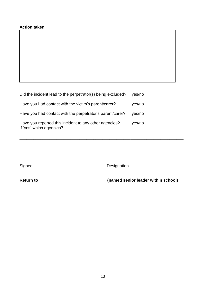| Did the incident lead to the perpetrator(s) being excluded?                        |                                                                           | yes/no |
|------------------------------------------------------------------------------------|---------------------------------------------------------------------------|--------|
| Have you had contact with the victim's parent/carer?                               |                                                                           | yes/no |
| Have you had contact with the perpetrator's parent/carer?                          |                                                                           | yes/no |
| Have you reported this incident to any other agencies?<br>If 'yes' which agencies? |                                                                           | yes/no |
| Return to <b>Exercise 2018</b>                                                     | Designation_______________________<br>(named senior leader within school) |        |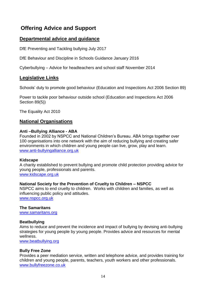# **Offering Advice and Support**

# **Departmental advice and guidance**

DfE Preventing and Tackling bullying July 2017

DfE Behaviour and Discipline in Schools Guidance January 2016

Cyberbullying – Advice for headteachers and school staff November 2014

# **Legislative Links**

Schools' duty to promote good behaviour (Education and Inspections Act 2006 Section 89)

Power to tackle poor behaviour outside school (Education and Inspections Act 2006 Section 89(5))

The Equality Act 2010

# **National Organisations**

# **Anti –Bullying Alliance - ABA**

Founded in 2002 by NSPCC and National Children's Bureau. ABA brings together over 100 organisations into one network with the aim of reducing bullying and creating safer environments in which children and young people can live, grow, play and learn. [www.anti-bullyingalliance.org.uk](http://www.anti-bullyingalliance.org.uk/)

## **Kidscape**

A charity established to prevent bullying and promote child protection providing advice for young people, professionals and parents. [www.kidscape.org.uk](http://www.kidscape.org.uk/)

# **National Society for the Prevention of Cruelty to Children – NSPCC**

NSPCC aims to end cruelty to children. Works with children and families, as well as influencing public policy and attitudes. [www.nspcc.org.uk](http://www.nspcc.org.uk/)

**The Samaritans**

[www.samaritans.org](http://www.samaritans.org/)

# **Beatbullying**

Aims to reduce and prevent the incidence and impact of bullying by devising anti-bullying strategies for young people by young people. Provides advice and resources for mental wellness.

[www.beatbullying.org](http://www.beatbullying.org/)

# **Bully Free Zone**

Provides a peer mediation service, written and telephone advice, and provides training for children and young people, parents, teachers, youth workers and other professionals. [www.bullyfreezone.co.uk](http://www.bullyfreezone.co.uk/)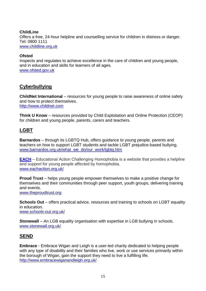## **ChildLine** Offers a free, 24-hour helpline and counselling service for children in distress or danger. Tel: 0800 1111 [www.childline.org.uk](http://www.childline.org.uk/)

# **Ofsted**

Inspects and regulates to achieve excellence in the care of children and young people, and in education and skills for learners of all ages. [www.ofsted.gov.uk](http://www.ofsted.gov.uk/)

# **Cyberbullying**

**ChildNet International** – resources for young people to raise awareness of online safety and how to protect themselves. [http://www.childnet.com](http://www.childnet.com/)

**Think U Know** – resources provided by Child Exploitation and Online Protection (CEOP) for children and young people, parents, carers and teachers.

# **LGBT**

**Barnardos** – through its LGBTQ Hub, offers guidance to young people, parents and teachers on how to support LGBT students and tackle LGBT prejudice-based bullying. www.barnardos.org.uk/what\_we\_do/our\_work/lgbtg.htm

**[EACH](http://www.eachaction.org.uk/)** – Educational Action Challenging Homophobia is a website that provides a helpline and support for young people affected by homophobia. [www.eachaction.org.uk/](http://www.eachaction.org.uk/)

**Proud Trust** – helps young people empower themselves to make a positive change for themselves and their communities through peer support, youth groups, delivering training and events.

[www.theproudtrust.org](http://www.theproudtrust.org/)

**Schools Out** – offers practical advice, resources and training to schools on LGBT equality in education. [www.schools-out.org.uk/](http://www.schools-out.org.uk/)

**Stonewall** – An LGB equality organisation with expertise in LGB bullying in schools. [www.stonewall.org.uk/](http://www.stonewall.org.uk/)

# **SEND**

**Embrace** - Embrace Wigan and Leigh is a user-led charity dedicated to helping people with any type of disability and their families who live, work or use services primarily within the borough of Wigan, gain the support they need to live a fulfilling life. <http://www.embracewiganandleigh.org.uk/>